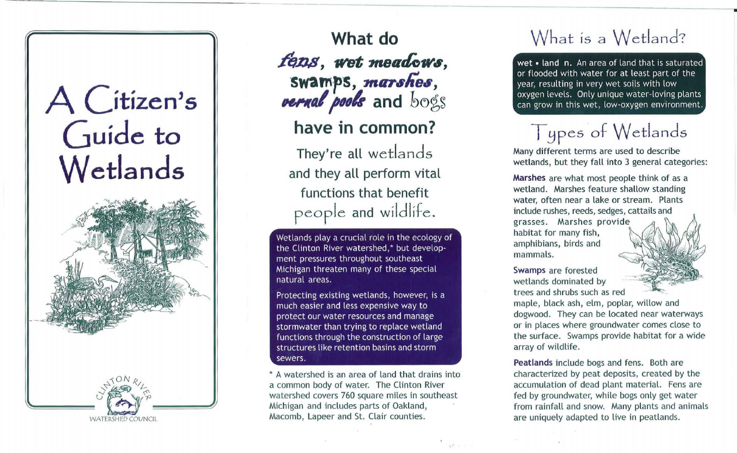# A Citizen's Guide to Wetlands



**What do**  $fens$ , wet meadows, swamps, marshes *PEPRAL pools* and bogs **have in common?**

They're all wetlands

and they all perform vital functions that benefit people and wildlife.

Wetlands play a crucial role in the ecology of the Clinton River watershed,\* but development pressures throughout southeast Michigan threaten many of these special natural areas.

Protecting existing wetlands, however, is a much easier and less expensive way to protect our water resources and manage stormwater than trying to replace wetland functions through the construction of large structures like retention basins and storm sewers.

\* A watershed is an area of land that drains into a common body of water. The Clinton River watershed covers 760 square miles in southeast Michigan and includes parts of Oakland, Macomb, Lapeer and St. Clair counties.

#### What is a Wetland?

wet • land n. An area of land that is saturated or flooded with water for at least part of the year, resulting in very wet soils with low oxygen levels. Only unique water-loving plants can grow in this wet, low-oxygen environment.

## Types of Wetlands

Many different terms are used to describe wetlands, but they fall into 3 general categories:

Marshes are what most people think of as a wetland. Marshes feature shallow standing water, often near a lake or stream. Plants include rushes, reeds, sedges, cattails and grasses. Marshes provide habitat for many fish, amphibians, birds and mammals.

Swamps are forested wetlands dominated by trees and shrubs such as red

maple, black ash, elm, poplar, willow and dogwood. They can be located near waterways or in places where groundwater comes close to the surface. Swamps provide habitat for a wide array of wildlife.

Peatlands include bogs and fens. Both are characterized by peat deposits, created by the accumulation of dead plant material. Fens are fed by groundwater, while bogs only get water from rainfall and snow. Many plants and animals are uniquely adapted to live in peatlands.